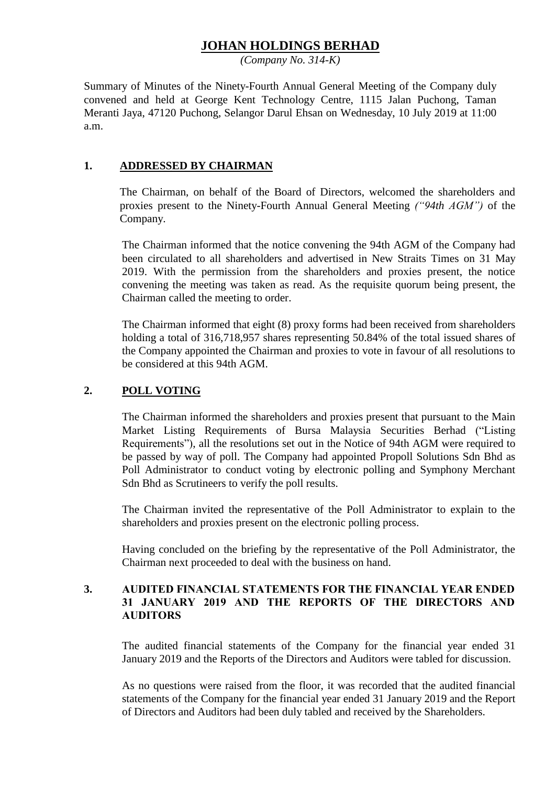# **JOHAN HOLDINGS BERHAD**

*(Company No. 314-K)*

Summary of Minutes of the Ninety-Fourth Annual General Meeting of the Company duly convened and held at George Kent Technology Centre, 1115 Jalan Puchong, Taman Meranti Jaya, 47120 Puchong, Selangor Darul Ehsan on Wednesday, 10 July 2019 at 11:00 a.m.

### **1. ADDRESSED BY CHAIRMAN**

The Chairman, on behalf of the Board of Directors, welcomed the shareholders and proxies present to the Ninety-Fourth Annual General Meeting *("94th AGM")* of the Company.

The Chairman informed that the notice convening the 94th AGM of the Company had been circulated to all shareholders and advertised in New Straits Times on 31 May 2019. With the permission from the shareholders and proxies present, the notice convening the meeting was taken as read. As the requisite quorum being present, the Chairman called the meeting to order.

The Chairman informed that eight (8) proxy forms had been received from shareholders holding a total of 316,718,957 shares representing 50.84% of the total issued shares of the Company appointed the Chairman and proxies to vote in favour of all resolutions to be considered at this 94th AGM.

### **2. POLL VOTING**

The Chairman informed the shareholders and proxies present that pursuant to the Main Market Listing Requirements of Bursa Malaysia Securities Berhad ("Listing Requirements"), all the resolutions set out in the Notice of 94th AGM were required to be passed by way of poll. The Company had appointed Propoll Solutions Sdn Bhd as Poll Administrator to conduct voting by electronic polling and Symphony Merchant Sdn Bhd as Scrutineers to verify the poll results.

The Chairman invited the representative of the Poll Administrator to explain to the shareholders and proxies present on the electronic polling process.

Having concluded on the briefing by the representative of the Poll Administrator, the Chairman next proceeded to deal with the business on hand.

### **3. AUDITED FINANCIAL STATEMENTS FOR THE FINANCIAL YEAR ENDED 31 JANUARY 2019 AND THE REPORTS OF THE DIRECTORS AND AUDITORS**

The audited financial statements of the Company for the financial year ended 31 January 2019 and the Reports of the Directors and Auditors were tabled for discussion.

As no questions were raised from the floor, it was recorded that the audited financial statements of the Company for the financial year ended 31 January 2019 and the Report of Directors and Auditors had been duly tabled and received by the Shareholders.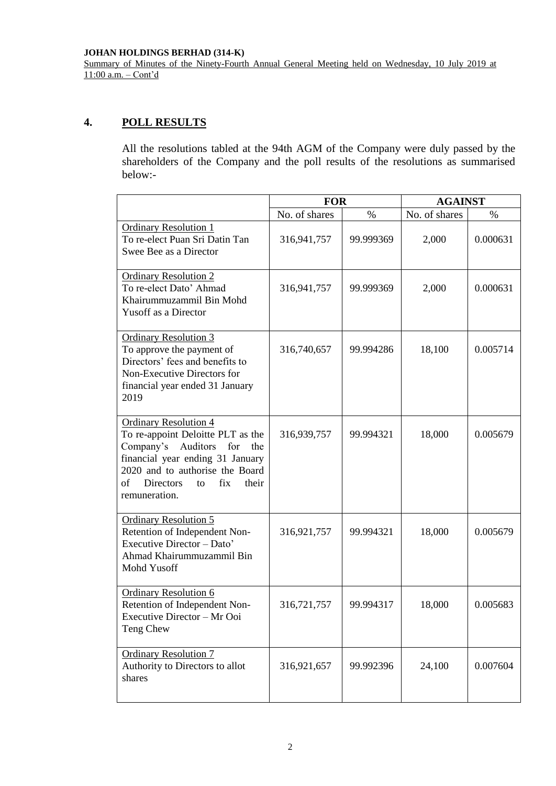#### **JOHAN HOLDINGS BERHAD (314-K)**

Summary of Minutes of the Ninety-Fourth Annual General Meeting held on Wednesday, 10 July 2019 at 11:00 a.m. – Cont'd

## **4. POLL RESULTS**

All the resolutions tabled at the 94th AGM of the Company were duly passed by the shareholders of the Company and the poll results of the resolutions as summarised below:-

|                                                                                                                                                                                                                                               | <b>FOR</b>    |           | <b>AGAINST</b> |          |
|-----------------------------------------------------------------------------------------------------------------------------------------------------------------------------------------------------------------------------------------------|---------------|-----------|----------------|----------|
|                                                                                                                                                                                                                                               | No. of shares | $\%$      | No. of shares  | $\%$     |
| <b>Ordinary Resolution 1</b><br>To re-elect Puan Sri Datin Tan<br>Swee Bee as a Director                                                                                                                                                      | 316,941,757   | 99.999369 | 2,000          | 0.000631 |
| <b>Ordinary Resolution 2</b><br>To re-elect Dato' Ahmad<br>Khairummuzammil Bin Mohd<br><b>Yusoff as a Director</b>                                                                                                                            | 316,941,757   | 99.999369 | 2,000          | 0.000631 |
| <b>Ordinary Resolution 3</b><br>To approve the payment of<br>Directors' fees and benefits to<br>Non-Executive Directors for<br>financial year ended 31 January<br>2019                                                                        | 316,740,657   | 99.994286 | 18,100         | 0.005714 |
| <b>Ordinary Resolution 4</b><br>To re-appoint Deloitte PLT as the<br>Company's Auditors<br>for<br>the<br>financial year ending 31 January<br>2020 and to authorise the Board<br>fix<br>of<br><b>Directors</b><br>their<br>to<br>remuneration. | 316,939,757   | 99.994321 | 18,000         | 0.005679 |
| <b>Ordinary Resolution 5</b><br>Retention of Independent Non-<br>Executive Director - Dato'<br>Ahmad Khairummuzammil Bin<br>Mohd Yusoff                                                                                                       | 316,921,757   | 99.994321 | 18,000         | 0.005679 |
| <b>Ordinary Resolution 6</b><br>Retention of Independent Non-<br>Executive Director – Mr Ooi<br>Teng Chew                                                                                                                                     | 316,721,757   | 99.994317 | 18,000         | 0.005683 |
| <b>Ordinary Resolution 7</b><br>Authority to Directors to allot<br>shares                                                                                                                                                                     | 316,921,657   | 99.992396 | 24,100         | 0.007604 |